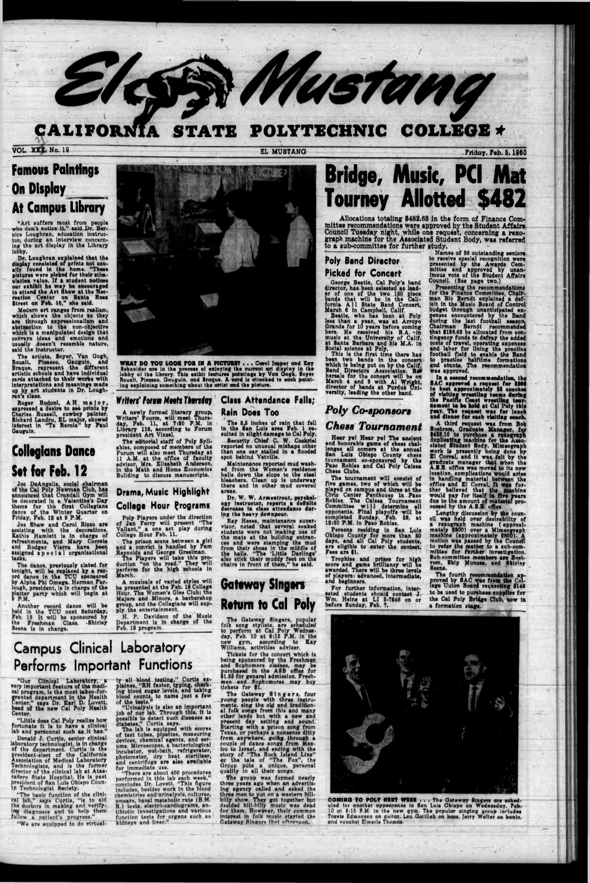#### CALIFORNIA STATE POLYTECHNIC **COLLEGE \***

**VOL. XXX. No. 19** 

EL MUSTANG

**By Mustang** 

Friday, Feb. 5, 1960

### **Famous Paintings On Display At Campus Library**

"Art suffers most from people<br>who don't notice it," said Dr. Bernice Loughran, education instruc-<br>tor, during an interview concerning the art display in the Library lobby.

lobby.<br>
Dr. Loughran explained that the<br>
display consisted of prints not usu-<br>
ally round in the home. "These<br>
pictures were picked for their stim-<br>
ulation value. If a student notions<br>
our exhibit he may be encouraged<br>
to

Modern art ranges from realiam,<br>which shows the objects as they<br>are through expressionalism and<br>abstraction to the non-objective<br>which is a manipulated design that conveys ideas and emotions and unually doesn't resemble nature,<br>said the instructor.

The artists, Soyer, Van Gogh,<br>Roualt, Pieanso, Gauguin, and<br>Braque, represent the different<br>artistic schools and have individual<br>eards attached to their works with<br>interpretations and meanings made<br>up by art students in Dr

Roger Rodoni, AH major,<br>appressed a desire to see prints by<br>Charles Russell, cowboy painter.<br>Richard Landru, EL major, showed<br>laterest in "Te Rerola" by Paul Gauguin.

### **Collegians Dance** Set for Feb. 12

Joe DeAngelis, social chairman<br>of the Cal Poly Newman Club, has<br>announced that Crundall Gym will<br>be decorated in a Valentine's Day<br>theme for the first Collegians<br>dance of the Winter Quarter on<br>Friday, Feb. 12 at 9 P.M.

state of the and Caroline and Caroline and Caroline and Caroline and Caroline and Mary Correlated and Rodger Vierra have been assigned a pool all organizational taaks

The dance, previously slated for<br>the dance in the TCU sponsored<br>ord dance in the TCU sponsored<br>by Alpha Phi Omega. Herman Far-<br>lough, president, is in charge of the<br>platter party which will begin at<br>9 P.M.



WHAT DO YOU LOOK FOR IN A PICTURE? . . . Cerol Jesper and Kay Thesider are in the process of supplying the ourrent art display in the lobby of the library. This exibit features paintings by Van Gogh, Enyer Rougilt, Picenso, Gauguin, and Braque. A card is attached to each painting exp

A newly formed literary group,<br>Writers' Fourm, will meet Thurs-<br>day, Feb. 11, at 7:30 P.M. in<br>Library 116, according to Forum<br>president Art Vinsel.

The editorial staff of Poly Syllables, composed of members of the Forum will also meet Thursday at Form will also meet and the office of faculty<br>advisor, Mrs. Elisabeth Anderson,<br>in the Math and Home Economist<br>Building to discuss manuscripts.

### Drama, Music Highlight **College Hour Programs**

Poly Players under the direction of Jan Ferry will present "The Vallant," a one act play during<br>College Hour Feb. 11.

The prison scene between a girl<br>and a convict is handled by Pam<br>Reynolds and George Greelman.<br>The Players will take this pro-<br>duction "on the road." They will<br>parform for the high schools in<br>March.

A musicale of varied styles will Gateway Singers Hour. The Women's Glee Club; the<br>Majors and Minors, a barbershop group, and the Collegians will supply the entertainment.

#### **Class Attendance Falls;** Writers' Forum Meets Thursday Rain Does Too

The 3.5 inches of rain that fell<br>in the San Luis area Feb. 1 resulted in slight damage to Cal Poly. Security Chief C. W. Cockrising and the resource of the resource of the resource of the resource of the resource of the resource of the resource of the resource of the resource of the resource of the resource of the resour

Maintenance reported mud washed from the Women's residence<br>halis down the slope to the steel<br>bleschers. Clean up is underway<br>there and in other mud covered areas.

Dr. W. W. Armentrout, paychology instructor, reports a definite decrease in class attendance during the heavy downpour.

ing the heavy downpour.<br>
Ray Hesse, maintenance super-<br>
visor, noted that several soaked<br>
students were not making use of<br>
the mats at the building entran-<br>
ces and were stamping the mud<br>
from their shoes in the middle of<br>

# **Return to Cal Poly**

## **Bridge, Music, PCI Mat Tourney Allotted \$482**

Allocations totaling \$482.68 in the form of Finance Committee recommendations were approved by the Student Affairs Council Tuesday night, while one request, concerning a rexograph machine for the Associated Student Body, was referred to a sub-committee for further study.

### **Poly Band Director Picked for Concert**

**FIGKEG TOF CONCETT**<br>George Beatie, Cal Poly's band<br>director, has been selected as lead-<br>or of one of the two 180 piece<br>bands that will be in the Cali-<br>formia A11 State Band Concert,<br>March 6 in Campbell, Calif.<br>Beatie, who

been two bands in the mere nare<br>which is being put on by the Calif.<br>Which is being put on by the Calif.<br>Band Directors Association. Represent the concert will be on<br>March 4 and 5 with Al Wright,<br>director of bands at Purdue

### Poly Co-sponsors **Chess Tournament**

Hear ye! Hear ye! The ancient and honorable game of chess chal-<br>lenges all comers at the annual<br>san Luis Obispo County chase<br>tournament co-sponsored by the<br>Paso Robies and Cal Poly Caissa Chess Clubs.

Chess Clubs.<br>The tournament will consist of<br>flve games, two of which will be<br>played on campus and three at the<br>Civic Center Penthouse in Paso<br>Robies. The Caissa Tournament<br>Committee will determine all<br>opponents. Final play

Persons residing in San Luis<br>Oblapo County for more than 80<br>days, and all Cal Poly students,<br>are oligible to enter the contest.<br>Fees are \$1.

Trophies and primes for high score and game brilliancy will be awarded. There will be three levels of players: advanced, intermediate, and beginners.

Names of 86 outstanding seniors to receive special recognition were<br>presented by the Awards Cemmittee and approved by unan-<br>imous vote of the Student Affairs Council. (See page two.)

Presenting the recommendations<br>for the Finance Committes, Chair-<br>man Ric Berndt explained a def-<br>islt in the Music Board of Control isit in the Music Board of Control<br>budget through unanticipated ex-<br>penses encountered by the Band<br>during the last football season,<br>Chairman Berndt recommended<br>that \$186.68 he allocated from con-<br>tingency funds to defray t

was approved.<br>
In a second recommendation, the<br>
SAC approved a request for \$300<br>
in host approximately 35 can<br>had of visiting wreetling teams during<br>
the Pacific Coast wreetling teur-<br>
nament to be held at Cal Poly this<br>
y

and dinner for each visiting eeach.<br>
A third request was from Bob<br>
Bostrom, Graduate Manager, for<br>
Both.10 to purchuse a renograph<br>
duplicating machine for the Associated Student Body. Mimeograph<br>
work is presently being d

cessed by the A.S.B. office.<br>
Lengthy discussion by the council was held over desirability of<br>
a rexograph machine (approximately 5500) .<br>
machine (approximately 5600) .<br>
machine (approximately 5600).<br>
motion was passed by Sesna.

The fourth recommendation approved by SAC was from the College Uuton Board requesting \$146

Another record dance will be<br>held in the TCU next Saturday,<br>Feb. 13 It will be sponsored by<br>the Freshman Class. -Shirley Beana is in charge.

H. P. Davidson of the Music<br>Department is in charge of the Feb. 18 program.

### **Campus Clinical Laboratory** Performs Important Functions

"Our Clinical Laboratory, a<br>very important feature of the medical program, is the most taken-for-<br>granted department in the Health<br>Center," says Dr. Earl D. Lovett,<br>head of the new Cal Poly Health Center.

"Little does Cal Poly realize how fortunate it is to have a clinical lab and personnel such as it has." Donald J. Curtis, senior clinical<br>laboratory technologist. is in charge<br>of the department. Curtis is the<br>president-elect of the California<br>Association of Medical Laboratory Technologiata, and is the former<br>director of the clinical lab at Atascadero State Hospital. He is past president of San Luis Obispo Coun-ty Technologist Seclety.

"The basic function of the clinical lab," says Curtis, "is to ald<br>the doctors in making and verify-<br>img diagnoses and to help them<br>follow a pittlent's progress.

"We are equipped to do virtual-

ly all blood teating," Curtis ex-<br>plaines, "RH fastor, typing, check-<br>ing blood suntains levels, and taking<br>blood suntains to name just a few<br>of the tests."<br>"Urinalysis is also an important<br>job of our lab. Through this, it

ums. Microscopes, a bacteriological<br>incubator, wet-bath, refrigerater,<br>photometer, dry heat sterliser,<br>and centrifuge are size available

and contriums are also available<br>for immediate use.<br>"There are about 400 procedures<br>performed in this lab each week,"<br>concludes, besides work in the blood<br>includes, besides work in the blood chemistries and urinalysis, cultures amears, basal metabolic rate (B.M. R.) tests, electro-cardiograms, antibiotic investigations and various function tests for organs such as kidneys and liver."

The Gateway Singers, popular<br>folk song styllats, are scheduled<br>to perform at Cal Poly Wednes-<br>day, Feb. 10 at \$:15 P.M. in the<br>new gym, according to Kay<br>Williams, activities adviser.

Tickets for the concert which is ricatur or the Freshmen<br>and Exphonente by the Freshmen<br>and Exphomers classes, may be<br>purchased in the ASB office for<br>\$1.25 for general admission. Freshman<br>and Exphomores may buy<br>tickets for \$1.

The Gateway Singers, four<br>round people with three instru-<br>ments, sing the old and tradition-<br>al folk songs from this and many<br>other lands but with a new and<br>present day setting and sound.<br>Hearing with a prison song from<br>Te Texas, or perhaps a nonsense ditty<br>from anywhere, going through a<br>couple of dates conge from Mex-<br>loo to Israel, and ending with the<br>story of "The Rock Island Line"<br>or the tale of "The Fox", the<br>Group puts a unique, person

The group was formed nearly The group was formed nearly<br>three years ago when an advertis-<br>ing agency called and asked the<br>three men to put on a western hill-<br>billy show. They got together but<br>decided hill-billy music was dead<br>for them. However, their

For further information, interested students should contact J. Wm. Heine at LI 3-7246 on or before Sunday, Feb. 7.

to be used to purchase supplies for the Cal Poly Bridge Club, now in a formation stage.



COMING TO POLY NEXT WEEK . . . The Gateway Singers are scheduled for another appearence in San Luis Oblepo on Wednesday. Feb. 10 at 8:15 P.M. in the new gym. The popular singing group includes Travis Edmonson on quitar, Le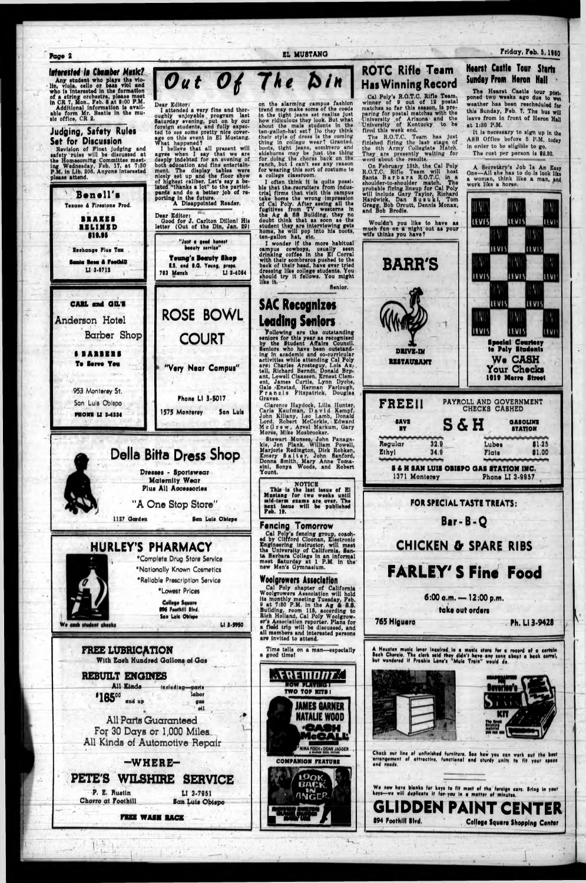#### Page 2

#### Istorested in Chamber Music?

Any student who plays the violin, viola. cello or base viol and who is interested in the formation of a string orchestra, please meet in CR 7, Mon.. Feb. 8 at 8:00 P.M. Additional information is available form Mr. Beatte i

### **Judging, Safety Rules Set for Discussion**

Revision of Float judging and<br>safety rules will be discussed at the Homesoming Committee meeting Wednesday, Feb. 17. at 7:30<br>P.M. in Lib. 206. Anyone Interested please attend.



Dear Editor:

I attended a very fine and thor-

### **ROTC Rifle Team** Out Of The Din **Has Winning Record**

**EL MUSTANG** 

ranch, but I can't see any reason

for wearing this sort of costume to<br>a college classroom.

 $\mathcal{O}(\mathbf{v})$ 

Cal Poly's R.O.T.C. Rifle Team.<br>winner of 9 out of 12 postal<br>matches so far this season, is preon the slarming campus fashion<br>trend may make some of the coods<br>in the tight jeans net realise just<br>how ridiculous they look. But what<br>hout the male students in the<br>ten-gallon-hat set? Do they think<br>their style of dress is paring for postal matches with the<br>University of Arizona and the<br>University of Kentucky to be<br>fired this week end.

The R.O.T.C. Team has just<br>finished firing the last stage of<br>the dih Army Collegiate Match.<br>They are presently waiting for<br>word about the results.

word about the results.<br>
On February 13th, the Cal Poly<br>
R.O.T.C. Riflo Team will host<br>
Santa Barbara R.O.T.C. in a<br>
houlder-to-shoulder match. The<br>
probable firing lineup for Cal Poly<br>
will include Gary Taylor, Richard<br>
H

## Wouldn't you like to have as

### Friday, Feb. 5, 1980

### **Hearst Castle Tour Starts Sunday From Heron Hall**

The Hearst Castle tour post-<br>poned two weeks ago due to wet weather has been rescheduled for this Sunday, Feb. 7. The bus will leave from in front of Heron Hall at 1:80 P.M.

It is necessary to sign up in the ASB Office before 5 P.M. today in order to be sligible to go. The cost per person is \$2.80.

A Secretary's Job Is An Easy<br>One-All she has to do is look like a woman, think like a man, and work like a horse.





 $\mathcal{X}$ 

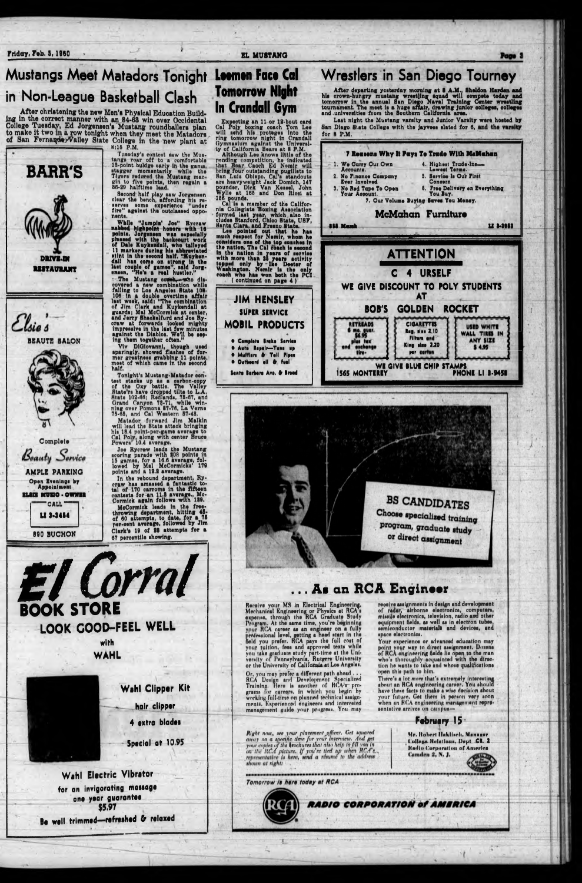Friday, Feb. 5, 1960

### **Mustangs Meet Matadors Tonight** in Non-League Basketball Clash

After christening the new Men's Physical Education Building in the correct manner with an 84-63 win over Occidental College Tuesday, Ed Jorgensen's Mustang roundballers plan to make it two in a row tonight when they meet t



Complete

Beauty Service

**AMPLE PARKING** 

Open Evenings by **Appointment** ilii nuno - Ownin

**CALL** 

LI 3-3454

890 BUCHON

Size F.m.<br>Tuesday's contest saw the Mus-<br>tangs rear off to a comfortable<br>13-point buidge early in the ganus,<br>stagger momentarily while the<br>Tigers reduced the Mustang mar-<br>gin to five points, then regain a<br>86-29 halftime le

Second half play saw Jorgensen<br>clear the bench, affording his re-<br>nerver some experience "under<br>fire" against the outclassed opponents.

nents. While "Jumpin" Joe" Rycraw<br>
nabbod highpoint honors with 16<br>
points. Jorgensen was especially<br>
phased with the backcourt work<br>
of Dale Kuykendall, who talleyed<br>
11 markers during his abbreviated<br>
11 markers during h

ensen, "He's a real hustler."<br>
The Mustang coseh, who discovered a new combination while<br>
falling to Los Angeles State 108-106 in<br>
106 in a double overtime affair<br>
last week, said: "The combination<br>
of Jim Clark and Kuyken

Viv DiGlovanni, though used<br>sparingly, showed flashes of for-<br>mer greatness grabbing 11 points,<br>most of which came in the second half.

Tonight's Mustang-Matador con-Tonight's Mustang-Matador con-<br>test stacks up as a sarbon-copy<br>of the Oxy battle. The Valley<br>State'rs have dropped tilts to L.A.<br>State 102-66; Redlands, 75-67, and<br>Grand Canyon 78-71, while win-<br>ning over Pomona 87-76, La

Matador forward Jim Malkin<br>will lead the State attack bringing his 18.4 point-per-game average to<br>Cal Poly, along with center Bruce<br>Powers' 10.4 average.

Joe Rycaw leads the Mustang<br>neoring parade with 108 points in<br>15 games, for a 16.6 average, followed by Mal McCormicks' 179<br>points and a 19.2 average.

In the rebound department. Ry-<br>craw has amassed a fantastic to-<br>tal of 170 carroms in the fifteen<br>contests for an 11.5 average., Mc-<br>Cormick again follows with 189.

McCormick leads in the free-<br>throwing department, hitting 45-<br>of 60 attempts, to date, for a 75<br>per-cent average, followed by Jim Clark's 19 of 28 attempts for a 67 percentile showing.

#### EL MUSTANG

### **Leemen Face Cal Tomorrow Night In Crandall Gym**

Expecting an 11-or 12-bout card<br>Cal Poly boxing coach Tom Lee<br>will send his proteges into the<br>ring tomorrow night in Crandall<br>Gymnasium against the Universi-



### **Wrestlers in San Diego Tourney**

After departing yesterday morning at 8 A.M., Sheldon Harden and<br>his crown-hungry mustang wrestling squad will compete today and<br>tomorrow in the annual San Diego Naval Training Center wrestling<br>tournament. The meet is a hug

Last night the Mustang varsity and Junior Varsity were hosted by San Diego State College with the jayvees slated for 6, and the varsity for 8 P.M.



Page 3

## **BOOK STORE** LOOK GOOD-FEEL WELL

with **WAHL** 

### Wahl Clipper Kit

hair clipper

4 extra blades

Special at 10.95

Wahl Electric Vibrator for an invigorating massage one year guarantee **S5.97** 

Be well trimmed-refreshed & relaxed

Receive your MS in Electrical Engineering. Receive your MS in Electrical Engineering.<br>Mechanical Engineering or Physics at RCA a<br>expense, through the RCA Graduate Study<br>Program. At the same time, you're beginning<br>your RCA career as an engineer on a fully<br>profession

Or, you may prefer a different path ahead ...<br>RCA Design and Development Specialized<br>Training. Here is another of RCA/w pro-<br>grams for careers, in which you begin by<br>working full-time on planned technical assign-<br>menta. Ex management guide your progress. You may

Right now, see your placement officer. Get squared<br>away on a specific time for your interview. And get<br>your copies of the spechures that also help to fill you in on the RCA picture. If you're tied up when RCA's representative is here, send a resume to the address shown at right:

Tomorrow is here today at RCA



Your experience or advanced education may point your way to direct assignment. Dozens of RCA engineering fields lie open to the man who's thoroughly acquainted with the direction he wants to take and whose qualifications open this path to him.

There's a lot more that's extremely interesting<br>about an RCA engineering career. You should have these facts to make a wise decision shout your future. Get them in person very soon when an RCA engineering management representative arrives on campus-

receive assignments in design and development

of radar, airborne electronics, computers,

equipment fields, as well as in electron tubes, semiconductor materials and devices, and

space electronics.

**RADIO CORPORATION of AMERICA** 

**February 15** 

Mr. Robert Haklisch, Manager College Relations, Dept. CR. 2 Radio Corporation of America **Camden 2, N, J.**